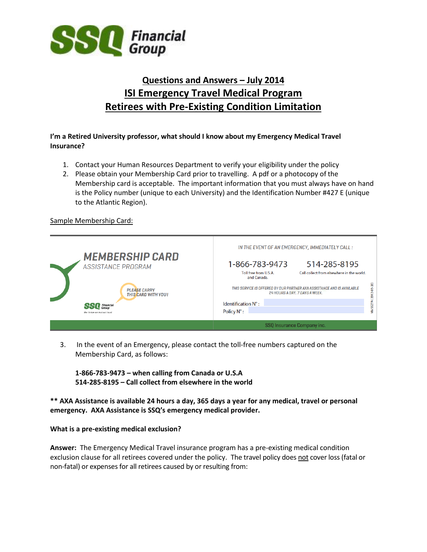

# **Questions and Answers – July 2014 ISI Emergency Travel Medical Program Retirees with Pre-Existing Condition Limitation**

## **I'm a Retired University professor, what should I know about my Emergency Medical Travel Insurance?**

- 1. Contact your Human Resources Department to verify your eligibility under the policy
- 2. Please obtain your Membership Card prior to travelling. A pdf or a photocopy of the Membership card is acceptable. The important information that you must always have on hand is the Policy number (unique to each University) and the Identification Number #427 E (unique to the Atlantic Region).

## Sample Membership Card:



3. In the event of an Emergency, please contact the toll-free numbers captured on the Membership Card, as follows:

**1-866-783-9473 – when calling from Canada or U.S.A 514-285-8195 – Call collect from elsewhere in the world**

**\*\* AXA Assistance is available 24 hours a day, 365 days a year for any medical, travel or personal emergency. AXA Assistance is SSQ's emergency medical provider.**

#### **What is a pre-existing medical exclusion?**

**Answer:** The Emergency Medical Travel insurance program has a pre-existing medical condition exclusion clause for all retirees covered under the policy. The travel policy does not cover loss (fatal or non-fatal) or expenses for all retirees caused by or resulting from: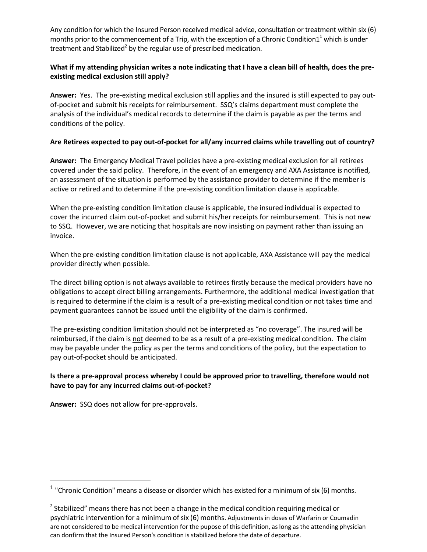Any condition for which the Insured Person received medical advice, consultation or treatment within six (6) months prior to the commencement of a Trip, with the exception of a Chronic Condition $1^{\scriptscriptstyle{1}}$  which is under treatment and Stabilized<sup>2</sup> by the regular use of prescribed medication.

## **What if my attending physician writes a note indicating that I have a clean bill of health, does the preexisting medical exclusion still apply?**

**Answer:** Yes. The pre-existing medical exclusion still applies and the insured is still expected to pay outof-pocket and submit his receipts for reimbursement. SSQ's claims department must complete the analysis of the individual's medical records to determine if the claim is payable as per the terms and conditions of the policy.

## **Are Retirees expected to pay out-of-pocket for all/any incurred claims while travelling out of country?**

**Answer:** The Emergency Medical Travel policies have a pre-existing medical exclusion for all retirees covered under the said policy. Therefore, in the event of an emergency and AXA Assistance is notified, an assessment of the situation is performed by the assistance provider to determine if the member is active or retired and to determine if the pre-existing condition limitation clause is applicable.

When the pre-existing condition limitation clause is applicable, the insured individual is expected to cover the incurred claim out-of-pocket and submit his/her receipts for reimbursement. This is not new to SSQ. However, we are noticing that hospitals are now insisting on payment rather than issuing an invoice.

When the pre-existing condition limitation clause is not applicable, AXA Assistance will pay the medical provider directly when possible.

The direct billing option is not always available to retirees firstly because the medical providers have no obligations to accept direct billing arrangements. Furthermore, the additional medical investigation that is required to determine if the claim is a result of a pre-existing medical condition or not takes time and payment guarantees cannot be issued until the eligibility of the claim is confirmed.

The pre-existing condition limitation should not be interpreted as "no coverage". The insured will be reimbursed, if the claim is not deemed to be as a result of a pre-existing medical condition. The claim may be payable under the policy as per the terms and conditions of the policy, but the expectation to pay out-of-pocket should be anticipated.

## **Is there a pre-approval process whereby I could be approved prior to travelling, therefore would not have to pay for any incurred claims out-of-pocket?**

**Answer:** SSQ does not allow for pre-approvals.

<sup>&</sup>lt;sup>1</sup> "Chronic Condition" means a disease or disorder which has existed for a minimum of six (6) months.

 $2$  Stabilized" means there has not been a change in the medical condition requiring medical or psychiatric intervention for a minimum of six (6) months. Adjustments in doses of Warfarin or Coumadin are not considered to be medical intervention for the pupose of this definition, as long as the attending physician can donfirm that the Insured Person's condition is stabilized before the date of departure.